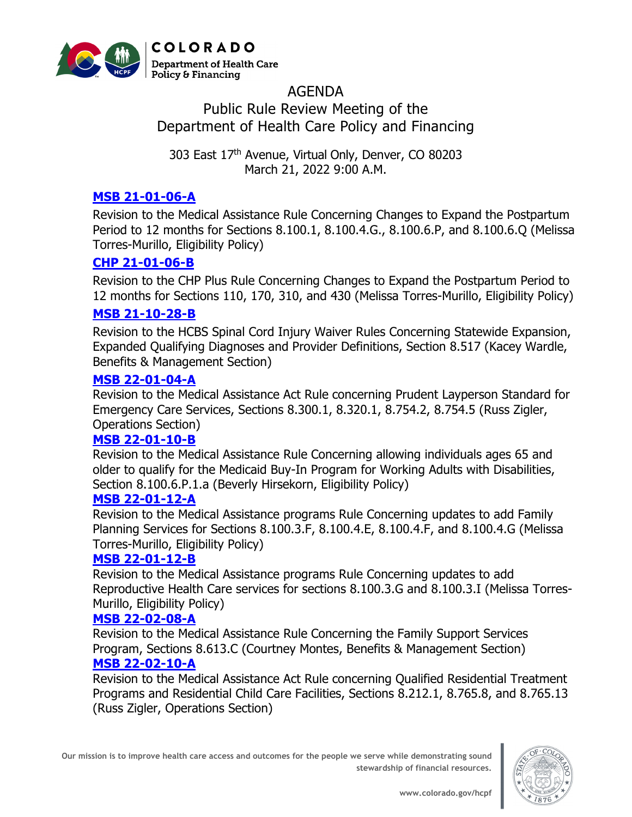

# AGENDA Public Rule Review Meeting of the Department of Health Care Policy and Financing

303 East 17th Avenue, Virtual Only, Denver, CO 80203 March 21, 2022 9:00 A.M.

# **[MSB 21-01-06-A](https://hcpf.colorado.gov/sites/hcpf/files/MSB%2021-01-06-A%20PRRM%20-%20Mar%202022.pdf)**

Revision to the Medical Assistance Rule Concerning Changes to Expand the Postpartum Period to 12 months for Sections 8.100.1, 8.100.4.G., 8.100.6.P, and 8.100.6.Q (Melissa Torres-Murillo, Eligibility Policy)

# **[CHP 21-01-06-B](https://hcpf.colorado.gov/sites/hcpf/files/CHP%2021-01-06-B%20PRRM%20-%20Mar%202022.pdf)**

Revision to the CHP Plus Rule Concerning Changes to Expand the Postpartum Period to 12 months for Sections 110, 170, 310, and 430 (Melissa Torres-Murillo, Eligibility Policy)

# **[MSB 21-10-28-B](https://hcpf.colorado.gov/sites/hcpf/files/MSB%2021-10-28-B%20PRRM%20-%20Mar%202022.pdf)**

Revision to the HCBS Spinal Cord Injury Waiver Rules Concerning Statewide Expansion, Expanded Qualifying Diagnoses and Provider Definitions, Section 8.517 (Kacey Wardle, Benefits & Management Section)

#### **[MSB 22-01-04-A](https://hcpf.colorado.gov/sites/hcpf/files/MSB%2022-01-04-A%20PRRM%20-%20Mar%202022.pdf)**

Revision to the Medical Assistance Act Rule concerning Prudent Layperson Standard for Emergency Care Services, Sections 8.300.1, 8.320.1, 8.754.2, 8.754.5 (Russ Zigler, Operations Section)

#### **[MSB 22-01-10-B](https://hcpf.colorado.gov/sites/hcpf/files/MSB%2022-01-10-B%20PRRM%20-%20Mar%202022.pdf)**

Revision to the Medical Assistance Rule Concerning allowing individuals ages 65 and older to qualify for the Medicaid Buy-In Program for Working Adults with Disabilities, Section 8.100.6.P.1.a (Beverly Hirsekorn, Eligibility Policy)

#### **[MSB 22-01-12-A](https://hcpf.colorado.gov/sites/hcpf/files/MSB%2022-01-12-A%20PRRM%20-%20Mar%202022.pdf)**

Revision to the Medical Assistance programs Rule Concerning updates to add Family Planning Services for Sections 8.100.3.F, 8.100.4.E, 8.100.4.F, and 8.100.4.G (Melissa Torres-Murillo, Eligibility Policy)

# **[MSB 22-01-12-B](https://hcpf.colorado.gov/sites/hcpf/files/MSB%2022-01-12-B%20PRRM%20-%20Mar%202022.pdf)**

Revision to the Medical Assistance programs Rule Concerning updates to add Reproductive Health Care services for sections 8.100.3.G and 8.100.3.I (Melissa Torres-Murillo, Eligibility Policy)

#### **[MSB 22-02-08-A](https://hcpf.colorado.gov/sites/hcpf/files/MSB%2022-02-08-A%20PRRM%20-%20Mar%202022.pdf)**

Revision to the Medical Assistance Rule Concerning the Family Support Services Program, Sections 8.613.C (Courtney Montes, Benefits & Management Section)

#### **[MSB 22-02-10-A](https://hcpf.colorado.gov/sites/hcpf/files/MSB%2022-02-10-A%20PRRM%20-%20Mar%202022.pdf)**

Revision to the Medical Assistance Act Rule concerning Qualified Residential Treatment Programs and Residential Child Care Facilities, Sections 8.212.1, 8.765.8, and 8.765.13 (Russ Zigler, Operations Section)